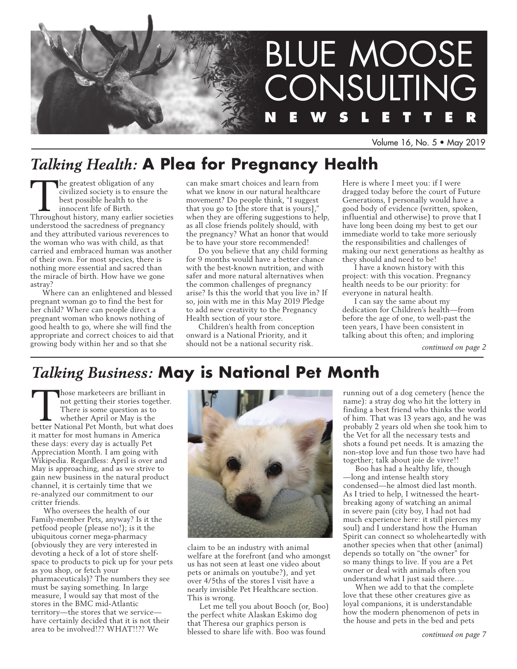

Volume 16, No. 5 • May 2019

# *Talking Health:* **A Plea for Pregnancy Health**

The greatest obligation of any civilized society is to ensure the best possible health to the innocent life of Birth. Throughout history, many earlier societies understood the sacredness of pregnancy and they attributed various reverences to the woman who was with child, as that carried and embraced human was another of their own. For most species, there is nothing more essential and sacred than the miracle of birth. How have we gone astray?

Where can an enlightened and blessed pregnant woman go to find the best for her child? Where can people direct a pregnant woman who knows nothing of good health to go, where she will find the appropriate and correct choices to aid that growing body within her and so that she

can make smart choices and learn from what we know in our natural healthcare movement? Do people think, "I suggest that you go to  $[$ the store that is yours],' when they are offering suggestions to help, as all close friends politely should, with the pregnancy? What an honor that would be to have your store recommended!

Do you believe that any child forming for 9 months would have a better chance with the best-known nutrition, and with safer and more natural alternatives when the common challenges of pregnancy arise? Is this the world that you live in? If so, join with me in this May 2019 Pledge to add new creativity to the Pregnancy Health section of your store.

Children's health from conception onward is a National Priority, and it should not be a national security risk.

Here is where I meet you: if I were dragged today before the court of Future Generations, I personally would have a good body of evidence (written, spoken, influential and otherwise) to prove that I have long been doing my best to get our immediate world to take more seriously the responsibilities and challenges of making our next generations as healthy as they should and need to be!

I have a known history with this project: with this vocation. Pregnancy health needs to be our priority: for everyone in natural health.

I can say the same about my dedication for Children's health—from before the age of one, to well-past the teen years, I have been consistent in talking about this often; and imploring

*continued on page 2*

# *Talking Business:* **May is National Pet Month**

hose marketeers are brilliant in not getting their stories together. There is some question as to whether April or May is the better National Pet Month, but what does it matter for most humans in America these days: every day is actually Pet Appreciation Month. I am going with Wikipedia. Regardless: April is over and May is approaching, and as we strive to gain new business in the natural product channel, it is certainly time that we re-analyzed our commitment to our critter friends.

Who oversees the health of our Family-member Pets, anyway? Is it the petfood people (please no!); is it the ubiquitous corner mega-pharmacy (obviously they are very interested in devoting a heck of a lot of store shelfspace to products to pick up for your pets as you shop, or fetch your pharmaceuticals)? The numbers they see must be saying something. In large measure, I would say that most of the stores in the BMC mid-Atlantic territory—the stores that we service have certainly decided that it is not their area to be involved!?? WHAT!!?? We



claim to be an industry with animal welfare at the forefront (and who amongst us has not seen at least one video about pets or animals on youtube?), and yet over 4/5ths of the stores I visit have a nearly invisible Pet Healthcare section. This is wrong.

Let me tell you about Booch (or, Boo) the perfect white Alaskan Eskimo dog that Theresa our graphics person is blessed to share life with. Boo was found

running out of a dog cemetery (hence the name): a stray dog who hit the lottery in finding a best friend who thinks the world of him. That was 13 years ago, and he was probably 2 years old when she took him to the Vet for all the necessary tests and shots a found pet needs. It is amazing the non-stop love and fun those two have had together; talk about joie de vivre!!

Boo has had a healthy life, though —long and intense health story condensed—he almost died last month. As I tried to help, I witnessed the heartbreaking agony of watching an animal in severe pain (city boy, I had not had much experience here: it still pierces my soul) and I understand how the Human Spirit can connect so wholeheartedly with another species when that other (animal) depends so totally on "the owner" for so many things to live. If you are a Pet owner or deal with animals often you understand what I just said there….

When we add to that the complete love that these other creatures give as loyal companions, it is understandable how the modern phenomenon of pets in the house and pets in the bed and pets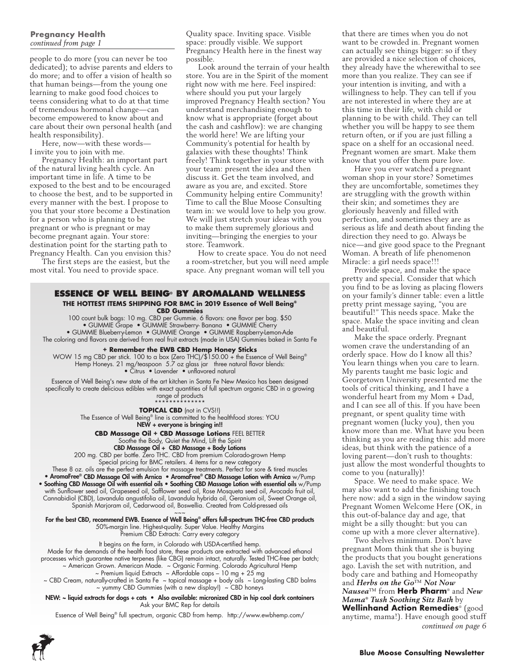# **Pregnancy Health**  *continued from page 1*

people to do more (you can never be too dedicated); to advise parents and elders to do more; and to offer a vision of health so that human beings—from the young one learning to make good food choices to teens considering what to do at that time of tremendous hormonal change—can become empowered to know about and care about their own personal health (and health responsibility).

Here, now—with these words— I invite you to join with me.

Pregnancy Health: an important part of the natural living health cycle. An important time in life. A time to be exposed to the best and to be encouraged to choose the best, and to be supported in every manner with the best. I propose to you that your store become a Destination for a person who is planning to be pregnant or who is pregnant or may become pregnant again. Your store: destination point for the starting path to Pregnancy Health. Can you envision this?

The first steps are the easiest, but the most vital. You need to provide space.

Quality space. Inviting space. Visible space: proudly visible. We support Pregnancy Health here in the finest way possible.

Look around the terrain of your health store. You are in the Spirit of the moment right now with me here. Feel inspired: where should you put your largely improved Pregnancy Health section? You understand merchandising enough to know what is appropriate (forget about the cash and cashflow): we are changing the world here! We are lifting your Community's potential for health by galaxies with these thoughts! Think freely! Think together in your store with your team: present the idea and then discuss it. Get the team involved, and aware as you are, and excited. Store Community helping entire Community! Time to call the Blue Moose Consulting team in: we would love to help you grow. We will just stretch your ideas with you to make them supremely glorious and inviting—bringing the energies to your store. Teamwork.

How to create space. You do not need a room-stretcher, but you will need ample space. Any pregnant woman will tell you

#### **Essence of Well Being® by Aromaland Wellness THE HOTTEST ITEMS SHIPPING FOR BMC in 2019 Essence of Well Being® CBD Gummies**

100 count bulk bags: 10 mg. CBD per Gummie. 6 flavors: one flavor per bag. \$50 • GUMMIE Grape • GUMMIE Strawberry- Banana • GUMMIE Cherry • GUMMIE Blueberry-Lemon • GUMMIE Orange • GUMMIE Raspberry-Lemon-Ade The coloring and flavors are derived from real fruit extracts (made in USA) Gummies baked in Santa Fe

**+ Remember the EWB CBD Hemp Honey Sticks** 

WOW 15 mg CBD per stick. 100 to a box (Zero THC)/\$150.00 + the Essence of Well Being® Hemp Honeys. 21 mg/teaspoon 5.7 oz glass jar three natural flavor blends: • Citrus • Lavender • unflavored natural

Essence of Well Being's new state of the art kitchen in Santa Fe New Mexico has been designed specifically to create delicious edibles with exact quantities of full spectrum organic CBD in a growing range of products

\*\*\*\*\*\*\*\*\*\*\*\*\*\*

**TOPICAL CBD** (not in CVS!!) The Essence of Well Being® line is committed to the healthfood stores: YOU NEW + everyone is bringing in!!

**CBD Massage Oil + CBD Massage Lotions** FEEL BETTER

Soothe the Body, Quiet the Mind, Lift the Spirit

CBD Massage Oil + CBD Massage + Body Lotions

200 mg. CBD per bottle. Zero THC. CBD from premium Colorado-grown Hemp Special pricing for BMC retailers. 4 items for a new category

These 8 oz. oils are the perfect emulsion for massage treatments. Perfect for sore & tired muscles • AromaFree® CBD Massage Oil with Arnica • AromaFree® CBD Massage Lotion with Arnica w/Pump • Soothing CBD Massage Oil with essential oils • Soothing CBD Massage Lotion with essential oils w/Pump with Sunflower seed oil, Grapeseed oil, Safflower seed oil, Rose Mosqueta seed oil, Avocado fruit oil, Cannabidiol (CBD), Lavandula angustifolia oil, Lavandula hybrida oil, Geranium oil, Sweet Orange oil, Spanish Marjoram oil, Cedarwood oil, Boswellia. Created from Cold-pressed oils

 $\sim\sim\sim$ For the best CBD, recommend EWB. Essence of Well Being® offers full-spectrum THC-free CBD products 50%-margin line. Highest-quality. Super Value. Healthy Margins

Premium CBD Extracts: Carry every category

It begins on the farm, in Colorado with USDA-certified hemp. Made for the demands of the health food store, these products are extracted with advanced ethanol

processes which guarantee native terpenes (like CBG) remain intact, naturally. Tested THC-free per batch; ~ American Grown. American Made. ~ Organic Farming. Colorado Agricultural Hemp

 $\sim$  Premium liquid Extracts  $\sim$  Affordable caps – 10 mg + 25 mg

~ CBD Cream, naturally-crafted in Santa Fe ~ topical massage + body oils ~ Long-lasting CBD balms ~ yummy CBD Gummies (with a new display!) ~ CBD honeys

NEW: ~ liquid extracts for dogs + cats • Also available: micronized CBD in hip cool dark containers Ask your BMC Rep for details

Essence of Well Being® full spectrum, organic CBD from hemp. http://www.ewbhemp.com/

that there are times when you do not want to be crowded in. Pregnant women can actually see things bigger: so if they are provided a nice selection of choices, they already have the wherewithal to see more than you realize. They can see if your intention is inviting, and with a willingness to help. They can tell if you are not interested in where they are at this time in their life, with child or planning to be with child. They can tell whether you will be happy to see them return often, or if you are just filling a space on a shelf for an occasional need. Pregnant women are smart. Make them know that you offer them pure love.

Have you ever watched a pregnant woman shop in your store? Sometimes they are uncomfortable, sometimes they are struggling with the growth within their skin; and sometimes they are gloriously heavenly and filled with perfection, and sometimes they are as serious as life and death about finding the direction they need to go. Always be nice—and give good space to the Pregnant Woman. A breath of life phenomenon Miracle: a girl needs space!!!

Provide space, and make the space pretty and special. Consider that which you find to be as loving as placing flowers on your family's dinner table: even a little pretty print message saying, "you are beautiful!" This needs space. Make the space. Make the space inviting and clean and beautiful.

Make the space orderly. Pregnant women crave the understanding of an orderly space. How do I know all this? You learn things when you care to learn. My parents taught me basic logic and Georgetown University presented me the tools of critical thinking, and I have a wonderful heart from my Mom + Dad, and I can see all of this. If you have been pregnant, or spent quality time with pregnant women (lucky you), then you know more than me. What have you been thinking as you are reading this: add more ideas, but think with the patience of a loving parent—don't rush to thoughts: just allow the most wonderful thoughts to come to you (naturally)!

Space. We need to make space. We may also want to add the finishing touch here now: add a sign in the window saying Pregnant Women Welcome Here (OK, in this out-of-balance day and age, that might be a silly thought: but you can come up with a more clever alternative).

Two shelves minimum. Don't have pregnant Mom think that she is buying the products that you bought generations ago. Lavish the set with nutrition, and body care and bathing and Homeopathy and *Herbs on the Go*™ *Not Now Nausea*™ from **Herb Pharm**® and *New Mama® Tush Soothing Sitz Bath* by **Wellinhand Action Remedies**® (good anytime, mama!). Have enough good stuff *continued on page 6*

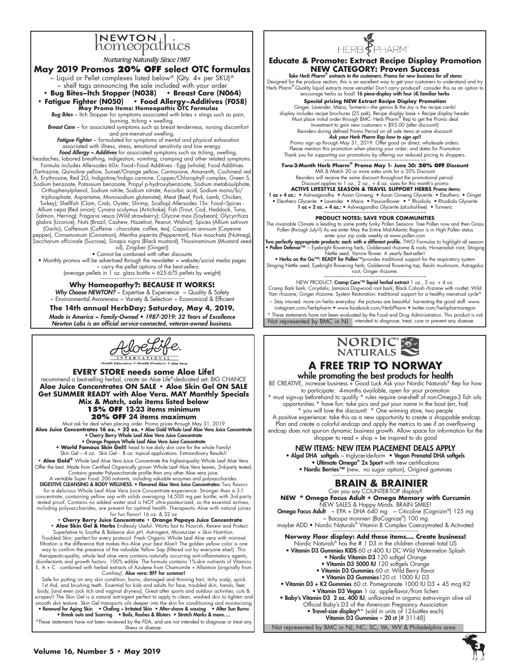# **NEWTON**<br>homeopathics

**Nurturing Naturally Since 1987** 

# **May 2019 Promos 20% off select OTC formulas**

 $\sim$  Liquid or Pellet complexes listed below^ (Qty. 4+ per SKU)^ ~ shelf tags announcing the sale included with your order **• Bug Bites–Itch Stopper (N038) • Breast Care (N064)**

**• Fatigue Fighter (N050) • Food Allergy–Additives (F058) May Promo Items: Homeopathic OTC Formulas** 

*Bug Bites* ~ Itch Stopper for symptoms associated with bites + stings such as pain,

burning, itching + swelling. *Breast Care* ~ for associated symptoms such as breast tenderness, nursing discomfort and pre-menstrual swelling.

Fatigue Fighter ~ formulated for symptoms of mental and physical exhaustion associated with illness, stress, emotional sensitivity and low energy. *Food Allergy ~ Additives* for associated symptoms such as itching, swelling,

headaches, labored breathing, indigestion, vomiting, cramping and other related symptoms.<br>Formula includes Allersodes 60x: Food~Food Additives - Egg (whole); Food Additives<br>Tartrazine, Quinoline yellow, Sunset/Orange yello A, Erythrosine, Red 2G, Indigotine/Indigo carmine, Copper/Chlorophyll complex, Green S, Sodium benzoate, Potassium benzoate, Propyl p-hydroxybenzoate, Sodium metabisulphate, Orthophenylphenol, Sodium nitrite, Sodium nitrate, Ascorbic acid, Sodium mono/bi/

triphosphate, Aspartame, Monosodium glutamate); Meat (Beef, Pork, Lamb, Chicken, Turkey); Shellfish (Clam, Crab, Oyster, Shrimp, Scallop) Allersodes 15x: Food~Spices - Allium cepa (Red onion); Cynara scolymus (Artichoke); Fish (Trout, Cod, Haddock, Tuna, Salmon, Herring); Fragaria vesca (Wild strawberry); Glycine max (Soybean); Glycyrrhiza glabra (Licorice); Nuts (Brazil, Cashew, Hazelnut, Peanut, Walnut); Spices (Allium sativum (Garlic), Caffeinum (Caffeine - chocolate, coffee, tea), Capsicum annuum (Cayenne

pepper), Cinnamomum (Cinnamon), Mentha piperita (Peppermint), Nux moschata (Nutmeg),<br>Saccharum officinale (Sucrose), Sinapis nigra (Black mustard), Thiosinaminum (Mustard seed oil), Zingiber (Ginger))

• Cannot be combined with other discounts • Monthly promos will be advertised through the newsletter = website/social media pages ~ carry the pellet options of the best-sellers: (average pellets in 1 oz. glass bottle = 625-675 pellets by weight) ~~~~~~~~~~~~~~~~~~~~~~~~~~~~~~~~~~

**Why Homeopathy?: BECAUSE IT WORKS! Why Choose NEWTON?** ~ Expertise & Experience ~ Quality & Safety

~ Environmental Awareness ~ Variety & Selection ~ Economical & Efficient **The 14th annual HerbDay; Saturday, May 4, 2019.**  Made in America ~ Family-Owned • 1987-2019: 32 Years of Excellence Newton Labs is an official service-connected, veteran-owned business.

KloeLife

**EVERY STORE needs some Aloe Life!** recommend a best-selling herbal, create an Aloe Life®-dedicated set: BIG CHANCE **Aloe Juice Concentrates ON SALE • Aloe Skin Gel ON SALE Get SUMMER READY with Aloe Vera. MAY Monthly Specials Mix & Match, sale items listed below 15% OFF 12-23 items minimum 20% OFF 24 items maximum**

Must ask for deal when placing order. Promo prices through May 31, 2019<br>**Aloe Juice Concentrates 16 oz. + 32 oz. • Aloe Gold Whole Leaf Aloe Vera Juice Concentrate**<br>• Cherr**y Berry Whole Leaf Aloe Vera Juice Concentrate** 

• Orange Papaya Whole Leaf Aloe Vera Juice Concentrate **+ World Famous Skin Gel!!** head to toe daily skin care for the whole Family! Skin Gel – 4 oz. Skin Gel - 8 oz. topical applications. Extraordinary Results!!

• Aloe Gold® Whole Leaf Aloe Vera Juice Concentrate the highest-quality Whole Leaf Aloe Vera.<br>Offer the best. Made from Certified Organically grown Whole Leaf Aloe Vera leaves; 3rd-party tested,<br>Contains greater Polysaccha

A veritable Super Food: 200 nutrients, including valuable enzymes and polysaccharides.<br>DIGESTIVE CLEANSING & BODY WELLNESS. • Flavored Aloe Vera Juice Concentrates: Two flavors for a delicious Whole Leaf Aloe Vera Juice Concentrate experience: Stronger than a 3:1 concentrate, containing yellow sap with solids averaging 14,500 mg per bottle; with 3rd-party<br>tested proof. Contains no added water and is NOT ultra-pasteurized, so the essential actives,<br>including polysaccharides, are pre

for fun flavor! 16 oz. & 32 oz **• Cherry Berry Juice Concentrate**<br>• Che**rry Berry Juice Concentrate • Orange Papaya Juice Concentrate**<br>• **Aloe Skin Gel & Herbs** Endlessly Useful. Works fast to Nourish, Renew and Protect.

Superlative to Soothe & Balance skin pH. Astringent, Moisturizer + Skin Nutrition.<br>Troubled Skin: perfect for every protocol. Fresh Organic Whole Leaf Aloe vera with minimal<br>filtration is the difference that makes this Alo way to confirm the presence of the valuable Yellow Sap (filtered out by everyone else!). This<br>therapeutic-quality, whole leaf aloe vera contains naturally occurring anti-inflammatory agents,<br>disinfectants and growth factor E, A + C - combined with herbal extracts of Azulene from Chamomile + Allantoin (originally from<br>Comfrey). **Aloe vera: BFF for summer!** 

Safe for putting on any skin condition; burns, damaged and thinning hair, itchy scalp, quick 1st Aid, and brushing teeth. Essential for kids and adults for face, troubled skin, hands, feet, body, [and even jock itch and vaginal dryness]. Great after sports and outdoor activities; cuts & scrapes!! The Skin Gel is a natural astringent perfect to apply to clean, washed skin to tighten and smooth skin texture. Skin Gel transports oils deeper into the skin for conditioning and moisturizing<br>• Renewal for Aging Skin • Chafing - Irritated Skin • After-shave & waxing • After Sun Burns<br>• Break outs and Scarr

\*These statements have not been reviewed by the FDA, and are not intended to diagnose or treat any illness or disease



### **Educate & Promote: Extract Recipe Display Promotion NEW CATEGORY: Proven Success**

*Take Herb Pharm®* extracts to the customers. Promo for new business for all stores Designed for the produce section, this is an excellent way to get your customers to understand and try<br>Herb Pharm<sup>®</sup>-Quality liquid extracts more versatile! Don't carry produce?: consider this as an option to<br>Herb Pharm®-Q

**Special pricing NEW Extract Recipe Display Promotion** Ginger, Lavender, Maca, Turmeric—the genius & the Joy is the recipe cards! display includes recipe brochures (25 pak), Recipe display base + Recipe display header.<br>Must place initial order through BMC- Herb Pharm ® Rep to get the Promo deal<br>Investment to gain new customers = \$95.00 (after discoun

Reorders during defined Promo Period on all sale items at same discount! **Ask your Herb Pharm Rep how to sign up!!**<br>Promo sign up through May 31, 2019. Offer good on direct, wholesale orders. Please mention this promotion when placing your order; and dates for Promotion Thank you for supporting our promotions by offering our reduced pricing to shoppers. ~~~~~~~~~~~~~~~~~~~~~~~~~~~~~~~~~~

**Two-2-Month Herb Pharm® Promo May 1- June 30: 20% OFF Discount**

MIX & Match 20 or more sales units for a 20% Discount Reorders will receive the same discount throughout the promotional period. Discount applies to 1 oz., 2 oz., + 4 oz. sizes for this month's promo

**ACTIVE LIFESTYLE SEASON & TRAVEL SUPPORT HERBS** Promo items:

1 oz + 4 oz.: • Ashwagandha • Asian Ginseng • Asian Ginseng Glycerite • Eleuthero • Ginger • Eleuthero Glycerite • Lavender • Maca • Passionflower • \* Rhodiola • Rhodiola Glycerite 1 oz + 2 oz. + 4 oz.: • Ashwagandha Glycerite (alcohol-free) • Turmeric

~~~~~~~~~~~~~~~~~~~~~~~~~~~~~~~~~~ **PRODUCT NOTES: SAVE YOUR COMMUNITIES**

The invariable Climate is leading to some pretty funky Pollen Seasons: Tree Pollen now and then Grass Pollen (through July!!) As we enter May the Entire Mid-Atlantic Region is in High Pollen status

enter your zip code weekly at www.pollen.com<br>
• **Pollen Defense<sup>™</sup> ~ Eyebright flowering herb, Goldensed rhizome & roots, Horseradish root, Stinging<br>
• <b>Pollen Defense™** ~ Eyebright flowering herb, Goldensed rhizome & ro

Not represented by BMC in NJ intended to diagnose, treat, cure or prevent any disease. NEW PRODUCT: **Cramp Care™ liquid herbal extract** 1 oz., 2 oz. + 4 oz.<br>Cramp Bark bark; Corydalis; Jamaica Dogwood root bark; Black Cohosh rhizome with rootlet; Wild Yam rhizome; Ginger rhizome. System Restoration: traditional support for a healthy menstrual cycle^ ~ Stay intuned: more on herbs everyday: the pictures are beautiful: harvesting the good stuff: www. instagram.com/herbpharm • www.facebook.com/HerbPharm • twitter.com/herbpharmoregon \* These statements have not been evaluated by the Food and Drug Administration. This product is not



~~

# **A FREE TRIP TO NORWAY** while promoting the best products for health

BE CREATIVE, increase business + Good Luck Ask your Nordic Naturals® Rep for how to participate: 4-months available, open for your promotion \* must sign-up beforehand to qualify \* rules require one-shelf of non-Omega-3 fish oils: opportunities \* have fun: take pics and put your name in the boat (err, hat)

\* you will love the discount! \* One winning store, two people A positive experience: take this as a new opportunity to create a shoppable endcap. Plan and create a colorful endcap and apply the metrics to see if an overflowing endcap does not spur-on dynamic business growth. Allow space for information for the shopper to read  $+$  shop  $+$  be inspired to do good

NEW ITEMS: NEW ITEM PLACEMENT DEALS APPLY

• Algal DHA softgels ~ triglyceride-form • Vegan Prenatal DHA softgels • Ultimate Omega® 2x Sport with new certifications • Nordic Berries™ (new, no sugar option), Original gummies ~~~~~~~~~~~~~~~~~~~~~~~~~~~~~~~~~~

# **BRAIN & BRAINIER**

Can you say COUNTER-TOP display? **NEW ^ Omega Focus Adult + Omega Memory with Curcumin**<br>NEW SALES & Happy Minds. BRAIN SMILE!<br>Omega Focus Adult ~ EPA + DHA 640 mg ~ Citicoline (Cognizin®) 125 mg ~ Bacopa monnieri (BaCognize®) 100 mg

maybe ADD • Nordic Naturals® Vitamin B Complex Coenzymated & Activated ~~~~~~~~~~~~~~~~~~~~~~~~~~~~~~~

**Norway Floor display: Add these items…. Create business!** Nordic Naturals® has the # 1 D3 in the children channel- total US • Vitamin D3 Gummies KIDS 60 ct 400 IU DC Wild Watermelon Splash • Nordic Vitamin D3 120 softgel Orange

- Vitamin D3 5000 IU 120 softgels Orange
- Vitamin D3 Gummies 60 ct. Wild Berry flavor
- Vitamin D3 Gummies 120 ct. 1000 IU D3
- Vitamin D3 + K2 Gummies 60 ct. Pomegranate 1000 IU D3 + 45 mcg K2 • Vitamin D3 Vegan 1 oz. apple-flavor/from lichen • Baby's Vitamin D3 2 oz. 400 IU; unflavored in organic extra-virgin olive oil Official Baby's D3 of the American Pregnancy Association<br>• **Travel-size display^**\* (sold in units of 12-bottles each) Vitamin D3 Gummies – 20 ct [# 31148]

Not represented by BMC in NJ, NC, SC, VA, WV & Philadelphia area

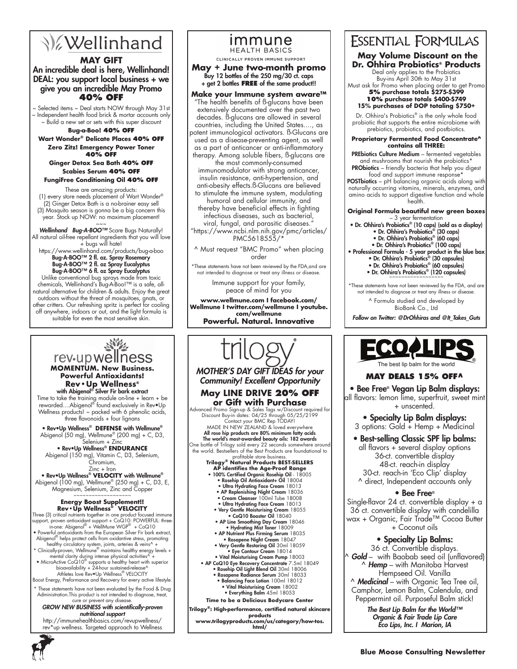# **V**ellinhand

# **MAY GIFT**

An incredible deal is here, Wellinhand! DEAL: you support local business + we give you an incredible May Promo **40% OFF**

~ Selected items ~ Deal starts NOW through May 31st ~ Independent health food brick & mortar accounts only ~ Build a new set or sets with this super discount

# **Bug-a-Boo! 40% off**

**Wart Wonder® Delicate Places 40% off Zero Zitz! Emergency Power Toner 40% off**

# **Ginger Detox Sea Bath 40% off Scabies Serum 40% off**

# **FungiFree Conditioning Oil 40% off**

These are amazing products: (1) every store needs placement of Wart Wonder® (2) Ginger Detox Bath is a no-brainer easy sell (3) Mosquito season is gonna be a big concern this year. Stock up NOW: no maximum placement!

سة<br>W**ellinhand Bug-A-BOO™** Scare Bugs Naturally! All natural oil-free repellant ingredients that you will love + bugs will hate!

https://www.wellinhand.com/products/bug-a-boo Bug-A-BOO™ 2 fl. oz. Spray Rosemary Bug-A-BOO™ 2 fl. oz Spray Eucalyptus

 $Bug-A-BOO<sup>TM</sup>$  6 fl. oz Spray Eucalyptus Unlike conventional bug sprays made from toxic chemicals, Wellinhand's Bug-A-Boo!™ is a safe, allnatural alternative for children & adults. Enjoy the great outdoors without the threat of mosquitoes, gnats, or other critters. Our refreshing spritz is perfect for cooling off anywhere, indoors or out, and the light formula is suitable for even the most sensitive skin.

## immune **HEALTH BASICS**

CLINICALLY PROVEN IMMUNE SUPPORT

**May + June two-month promo** Buy 12 bottles of the 250 mg/30 ct. caps + get 2 bottles **free** of the same product!!

#### **Make your Immune system aware™** "The health benefits of ß-glucans have been extensively documented over the past two decades. ß-glucans are allowed in several countries, including the United States...., as potent immunological activators. ß-Glucans are used as a disease-preventing agent, as well as a part of anticancer or anti-inflammatory therapy. Among soluble fibers, ß-glucans are the most commonly-consumed

immunomodulator with strong anticancer, insulin resistance, anti-hypertension, and anti-obesity effects.ß-Glucans are believed to stimulate the immune system, modulating

humoral and cellular immunity, and thereby have beneficial effects in fighting infectious diseases, such as bacterial, viral, fungal, and parasitic diseases."

"https://www.ncbi.nlm.nih.gov/pmc/articles/ PMC5618555/\*

^ Must request "BMC Promo" when placing order

\*These statements have not been reviewed by the FDA,and are not intended to diagnose or treat any illness or disease.

Immune support for your family, peace of mind for you

**www.wellmune.com I facebook.com/ Wellmune I twitter.com/wellmune I youtube. com/wellmune Powerful. Natural. Innovative**

# 道安 rev-up wellness **MOMENTUM. New Business. Powerful Antioxidants!**

**Rev•Up Wellness®** with Abigenol® Silver Fir bark extract Time to take the training module on-line + learn + be rewarded....Abigenol® found exclusively in Rev•Up Wellness products! ~ packed with 6 phenolic acids, three flavonoids + four lignans

• Rev•Up Wellness® **DEFENSE** with Wellmune® Abigenol (50 mg), Wellmune® (200 mg) + C, D3, Selenium + Zinc

• Rev•Up Wellness® **ENDURANCE** Abigenol (150 mg), Vitamin C, D3, Selenium, Chromium,

Zinc + Iron • Rev•Up Wellness® **VELOCITY** with Wellmune® Abigenol (100 mg), Wellmune® (250 mg) + C, D3, E, Magnesium, Selenium, Zinc and Copper

**Energy Boost Supplement!!**<br> **Rev - Up Wellness® VELOCITY**<br>
Three (3) critical nutries together in one product focused immune<br>
support, proven antioxidant support + CoQ10: POWERFUL: three-<br>
inone: Abigenol® + WellMune W

- Powerful antioxidants from the European Silver Fir bark extract, Abigenol® helps protect cells from oxidantive stress, promoting healthy circulatory system, joints, arteries & veins^ +
- \* Clinically-proven, Wellmune® maintains healthy energy levels + mental clarity during intense physical activities^ + • MicroActive CoQ10® supports a healthy heart with superior
- bioavailability + 24-hour sustained-release^ Athletes love Rev•Up Wellness® VELOCITY
- Boost Energy, Preformance and Recovery for every active lifestyle. \* These statements have not been evaluated by the Food & Drug Administration.This product is not intended to diagnose, treat,

#### cure or prevent any disease GROW NEW BUSINESS with scientifically-proven *nutritional support*

http://immunehealthbasics.com/revupwellness/ rev\*up wellness. Targeted approach to Wellness



## **www.trilogyproducts.com/us/category/how-tos. html/**

# **ESSENTIAL FORMULAS**

 **May Volume Discount on the Dr. Ohhira Probiotics® Products**

Deal only applies to the Probiotics Buy-ins April 30th to May 31st

Must ask for Promo when placing order to get Promo **5% purchase totals \$275-\$399**

#### **10% purchase totals \$400-\$749 15% purchases of DOP totaling \$750+**

Dr. Ohhira's Probiotics<sup>®</sup> is the only whole food probiotic that supports the entire microbiome with prebiotics, probiotics, and postbiotics.

#### **Proprietary Fermented Food Concentrate^ contains all THREE:**

PREbiotics Culture Medium – fermented vegetables and mushrooms that nourish the probiotics\*<br>PRObiotics – friendly bacteria that help you digest

food and support immune response' POSTbiotics – pH balancing organic acids along with naturally occurring vitamins, minerals, enzymes, and amino acids to support digestive function and whole health.

# **Original Formula beautiful new green boxes**

- 3 year fermentation Dr. Ohhira's Probiotics® (10 caps) (sold as a display) • Dr. Ohhira's Probiotics® (30 caps)
	-
	- Dr. Ohhira's Probiotics® (60 caps) Dr. Ohhira's Probiotics® (100 caps)

• Professional Formula - 5 year product in the blue box

- Dr. Ohhira's Probiotics® (30 capsules) Dr. Ohhira's Probiotics® (60 capsules)
- Dr. Ohhira's Probiotics® (120 capsules)

\*These statements have not been reviewed by the FDA, and are not intended to diagnose or treat any illness or disease.

> ^ Formula studied and developed by BioBank Co., Ltd

Follow on Twitter: @DrOhhiras and @It\_Takes\_Guts



# **MAY DEALS 15% OFF^**

• Bee Free® Vegan Lip Balm displays: all flavors: lemon lime, superfruit, sweet mint + unscented.

• Specialty Lip Balm displays: 3 options: Gold + Hemp + Medicinal

# • Best-selling Classic SPF lip balms:

all flavors + several display options 36-ct. convertible display 48-ct. reach-in display 30-ct. reach-in 'Eco Clip' display ^ direct, Independent accounts only

# • Bee Free®

Single-flavor 24 ct. convertible display + a 36 ct. convertible display with candelilla wax + Organic, Fair Trade™ Cocoa Butter + Coconut oils

# • Specialty Lip Balms:

36 ct. Convertible displays. ^ *Gold* – with Baobab seed oil (unflavored) ^ *Hemp* – with Manitoba Harvest Hempseed Oil. Vanilla ^ *Medicinal* – with Organic Tea Tree oil,

Camphor, Lemon Balm, Calendula, and Peppermint oil. Purposeful Balm stick!

The Best Lip Balm for the World™ *Organic & Fair Trade Lip Care*  Eco Lips, Inc. I Marion, IA

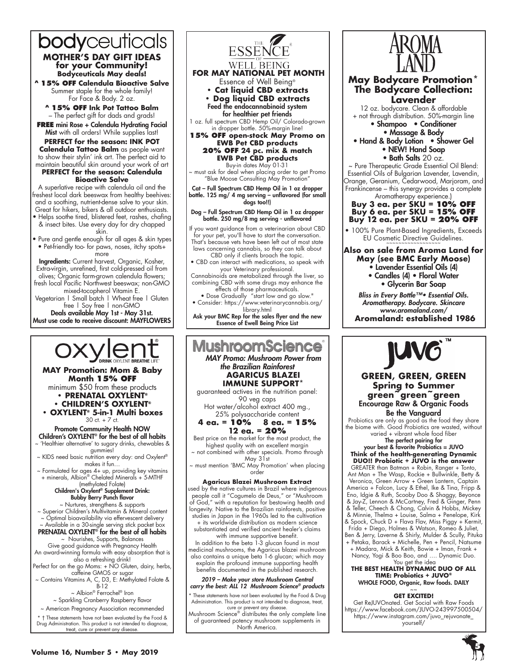# bodyceuticals **MOTHER'S DAY GIFT IDEAS for your Community! Bodyceuticals May deals!**

**^ 15% off Calendula Bioactive Salve**  Summer staple for the whole family! For Face & Body. 2 oz.

**^ 15% off Ink Pot Tattoo Balm**  – The perfect gift for dads and grads!

**FREE** mini Rose + Calendula Hydrating Facial Mist with all orders! While supplies last!

**PERFECT for the season: INK POT Calendula Tattoo Balm** as people want to show their stylin' ink art. The perfect aid to maintain beautiful skin around your work of art

### **PERFECT for the season: Calendula Bioactive Salve**

A superlative recipe with calendula oil and the freshest local dark beeswax from healthy beehives: and a soothing, nutrient-dense salve to your skin. Great for hikers, bikers & all outdoor enthusiasts.

• Helps soothe tired, blistered feet, rashes, chafing & insect bites. Use every day for dry chapped skin.

• Pure and gentle enough for all ages & skin types • Pet-friendly too- for paws, noses, itchy spots+ more

Ingredients: Current harvest, Organic, Kosher, Extra-virgin, unrefined, first cold-pressed oil from olives; Organic farm-grown calendula flowers; fresh local Pacific Northwest beeswax; non-GMO mixed-tocopherol Vitamin E.

Vegetarian | Small batch | Wheat free | Gluten free | Soy free | non-GMO

Deals available May 1st - May 31st. Must use code to receive discount: MAYFLOWERS



Perfect for on the go Moms: + NO Gluten, dairy, herbs, caffeine GMOS or sugar

~ Contains Vitamins A, C, D3, E: Methylated Folate & B-12

~ Albion® Ferrochel® Iron ~ Sparkling Cranberry Raspberry flavor

~ American Pregnancy Association recommended

\* † These statements have not been evaluated by the Food & Drug Administration. This product is not intended to diagnose, treat, cure or prevent any disease.



guaranteed actives in the nutrition panel: 90 veg caps

Hot water/alcohol extract 400 mg., 25% polysaccharide content **4 ea. = 10% 8 ea. = 15%**

**12 ea. = 20%** 

Best price on the market for the most product, the highest quality with an excellent margin not combined with other specials. Promo through

May 31st must mention 'BMC May Promotion' when placing order

# **Agaricus Blazei Mushroom Extract**

used by the native cultures in Brazil where indigenous people call it "Cogumelo de Deus," or "Mushroom of God," with a reputation for bestowing health and longevity. Native to the Brazilian rainforests, positive studies in Japan in the 1960s led to the cultivation + its worldwide distribution as modern science

substantiated and verified ancient healer's claims with immune supportive benefit.

In addition to the beta 1-3 glucan found in most medicinal mushrooms, the Agaricus blazei mushroom also contains a unique beta 1-6 glucan; which may explain the profound immune supporting health benefits documented in the published research.

2019 – Make your store Mushroom Central carry the best: ALL 12 Mushroom Science*® products*

\* These statements have not been evaluated by the Food & Drug Administration. This product is not intended to diagnose, treat, cure or prevent any disease.

Mushroom Science® distributes the only complete line of guaranteed potency mushroom supplements in North America.



**May Bodycare Promotion\* The Bodycare Collection: Lavender**

12 oz. bodycare. Clean & affordable + not through distribution. 50%-margin line • Shampoo • Conditioner

• Massage & Body

• Hand & Body Lotion • Shower Gel • NEW! Hand Soap

• Bath Salts 20 oz.

~ Pure Therapeutic Grade Essential Oil Blend: Essential Oils of Bulgarian Lavender, Lavendin, Orange, Geranium, Cedarwood, Marjoram, and Frankincense – this synergy provides a complete

Aromatherapy experience.) **Buy 3 ea. per SKU = 10% O Buy 6 ea. per SKU = 15% O Buy 12 ea. per SKU = 20% OFF**

• 100% Pure Plant-Based Ingredients, Exceeds EU Cosmetic Directive Guidelines.

**Also on sale from Aroma Land for May (see BMC Early Moose)**

- Lavender Essential Oils (4)
- Candles (4) Floral Water
	- Glycerin Bar Soap

Bliss in Every Bottle™• Essential Oils. Aromatherapy. Bodycare. Skincare www.aromaland.com/ **Aromaland: established 1986**



### **GREEN, GREEN, GREEN Spring to Summer green~green~green** Encourage Raw & Organic Foods Be the Vanguard

Probiotics are only as good as the food they share the biome with. Good Probiotics are wasted, without varied + vibrant whole food fiber

The perfect pairing for

your best & favorite Probiotics = JUVO **Think of the health-generating Dynamic DUO!! Probiotic + JUVO is the answer**

GREATER than Batman + Robin, Ranger + Tonto, Ant Man + The Wasp, Rockie + Bullwinkle, Betty & Veronica, Green Arrow + Green Lantern, Captain America + Falcon, Lucy & Ethel, Ike & Tina, Fripp & Eno, Idgie & Ruth, Scooby Doo & Shaggy, Beyonce & Jay-Z, Lennon & McCartney, Fred & Ginger, Penn & Teller, Cheech & Chong, Calvin & Hobbs, Mickey & Minnie, Thelma + Louise, Salma + Penelope, Kirk & Spock, Chuck D + Flava Flav, Miss Piggy + Kermit, Frida + Diego, Holmes & Watson, Romeo & Juliet, Ben & Jerry, Laverne & Shirly, Mulder & Scully, Pituka + Petaka, Barack + Michelle, Pen + Pencil, Natsume + Madara, Mick & Keith, Bowie + Iman, Frank +

Nancy, Yogi & Boo Boo, and …. Dynamic Duo. You get the idea **THE BEST HEALTH DYNAMIC DUO OF ALL** 

**TIME: Probiotics + JUVO®** WHOLE FOOD, Organic, Raw foods. DAILY  $\sim$   $\sim$ 

#### **GET EXCITED!**

Get ReJUVOnated. Get Social with Raw Foods https://www.facebook.com/JUVO-243997500504/ https://www.instagram.com/juvo\_rejuvonate\_ yourself/

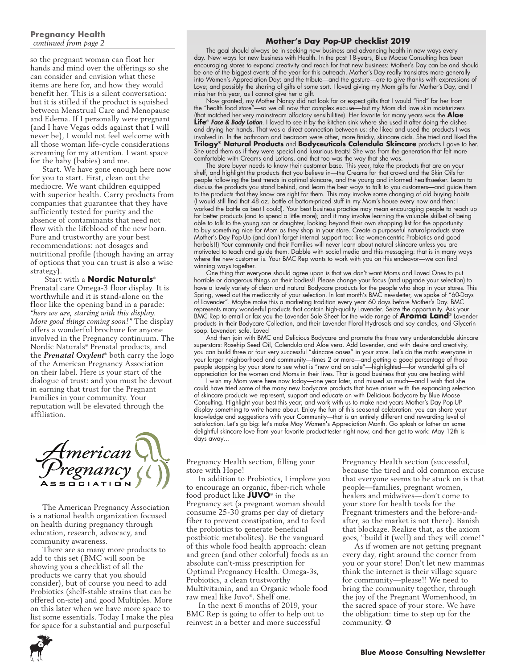# **Pregnancy Health**  *continued from page 2*

so the pregnant woman can float her hands and mind over the offerings so she can consider and envision what these items are here for, and how they would benefit her. This is a silent conversation: but it is stifled if the product is squished between Menstrual Care and Menopause and Edema. If I personally were pregnant (and I have Vegas odds against that I will never be), I would not feel welcome with all those woman life-cycle considerations screaming for my attention. I want space for the baby (babies) and me.

Start. We have gone enough here now for you to start. First, clean out the mediocre. We want children equipped with superior health. Carry products from companies that guarantee that they have sufficiently tested for purity and the absence of contaminants that need not flow with the lifeblood of the new born. Pure and trustworthy are your best recommendations: not dosages and nutritional profile (though having an array of options that you can trust is also a wise strategy).

 Start with a **Nordic Naturals**® Prenatal care Omega-3 floor display. It is worthwhile and it is stand-alone on the floor like the opening band in a parade: *"here we are, starting with this display. More good things coming soon!"* The display offers a wonderful brochure for anyone involved in the Pregnancy continuum. The Nordic Naturals® Prenatal products, and the *Prenatal Oxylent*® both carry the logo of the American Pregnancy Association on their label. Here is your start of the dialogue of trust: and you must be devout in earning that trust for the Pregnant Families in your community. Your reputation will be elevated through the affiliation.



The American Pregnancy Association is a national health organization focused on health during pregnancy through education, research, advocacy, and community awareness.

There are so many more products to add to this set (BMC will soon be showing you a checklist of all the products we carry that you should consider), but of course you need to add Probiotics (shelf-stable strains that can be offered on-site) and good Multiples. More on this later when we have more space to list some essentials. Today I make the plea for space for a substantial and purposeful

# **Mother's Day Pop-UP checklist 2019**

The goal should always be in seeking new business and advancing health in new ways every day. New ways for new business with Health. In the past 18-years, Blue Moose Consulting has been encouraging stores to expand creativity and reach for that new business: Mother's Day can be and should be one of the biggest events of the year for this outreach. Mother's Day really translates more generally into Women's Appreciation Day: and the tribute—and the gesture—are to give thanks with expressions of Love; and possibly the sharing of gifts of some sort. I loved giving my Mom gifts for Mother's Day, and I miss her this year, as I cannot give her a gift.

Now granted, my Mother Nancy did not look for or expect gifts that I would "find" for her from the "health food store"—so we all now that complex excuse-—but my Mom did love skin moisturizers (that matched her very mainstream olfactory sensibilities). Her favorite for many years was the **Aloe Life**® *Face & Body Lotion*. I loved to see it by the kitchen sink where she used it after doing the dishes and drying her hands. That was a direct connection between us: she liked and used the products I was involved in. In the bathroom and bedroom were other, more finicky, skincare aids. She tried and liked the **Trilogy® Natural Products** and **Bodyceuticals Calendula Skincare** products I gave to her. She used them as if they were special and luxurious treats! She was from the generation that felt more comfortable with Creams and Lotions, and that too was the way that she was.

The store buyer needs to know their customer base. This year, take the products that are on your shelf, and highlight the products that you believe in—the Creams for that crowd and the Skin Oils for people following the best trends in optimal skincare, and the young and informed healthseeker. Learn to discuss the products you stand behind, and learn the best ways to talk to you customers—and guide them to the products that they know are right for them. This may involve some changing of old buying habits (I would still find that 48 oz. bottle of bottom-priced stuff in my Mom's house every now and then: I worked the battle as best I could). Your best business practice may mean encouraging people to reach up for better products (and to spend a little more); and it may involve learning the valuable skillset of being able to talk to the young son or daughter, looking beyond their own shopping list for the opportunity to buy something nice for Mom as they shop in your store. Create a purposeful natural-products store Mother's Day Pop-Up (and don't forget internal support too: like women-centric Probiotics and good herbals!!) Your community and their Families will never learn about natural skincare unless you are motivated to teach and guide them. Dabble with social media and this messaging: that is in many ways where the new customer is. Your BMC Rep wants to work with you on this endeavor—we can find winning ways together.

One thing that everyone should agree upon is that we don't want Moms and Loved Ones to put horrible or dangerous things on their bodies!! Please change your focus (and upgrade your selection) to have a lovely variety of clean and natural Bodycare products for the people who shop in your stores. This Spring, weed out the mediocrity of your selection. In last month's BMC newsletter, we spoke of "60-Days of Lavender". Maybe make this a marketing tradition every year 60 days before Mother's Day. BMC represents many wonderful products that contain high-quality Lavender. Seize the opportunity. Ask your BMC Rep to email or fax you the Lavender Sale Sheet for the wide range of **Aroma Land**® Lavender products in their Bodycare Collection, and their Lavender Floral Hydrosols and soy candles, and Glycerin soap. Lavender: safe. Loved

And then join with BMC and Delicious Bodycare and promote the three very understandable skincare superstars: Rosehip Seed Oil, Calendula and Aloe vera. Add Lavender, and with desire and creativity, you can build three or four very successful "skincare oases" in your store. Let's do the math: everyone in your larger neighborhood and community—times 2 or more—and getting a good percentage of those people stopping by your store to see what is "new and on sale"—highlighted-—for wonderful gifts of appreciation for the women and Moms in their lives. That is good business that you are healing with!

I wish my Mom were here now today—one year later, and missed so much—and I wish that she could have tried some of the many new bodycare products that have arisen with the expanding selection of skincare products we represent, support and educate on with Delicious Bodycare by Blue Moose Consulting. Highlight your best this year; and work with us to make next years Mother's Day Pop-UP display something to write home about. Enjoy the fun of this seasonal celebration: you can share your knowledge and suggestions with your Community—that is an entirely different and rewarding level of satisfaction. Let's go big: let's make May Women's Appreciation Month. Go splash or lather on some delightful skincare love from your favorite product-tester right now, and then get to work: May 12th is days away…

Pregnancy Health section, filling your store with Hope!

In addition to Probiotics, I implore you to encourage an organic, fiber-rich whole food product like **JUVO**® in the Pregnancy set (a pregnant woman should consume 25-30 grams per day of dietary fiber to prevent constipation, and to feed the probiotics to generate beneficial postbiotic metabolites). Be the vanguard of this whole food health approach: clean and green (and other colorful) foods as an absolute can't-miss prescription for Optimal Pregnancy Health. Omega-3s, Probiotics, a clean trustworthy Multivitamin, and an Organic whole food raw meal like Juvo®. Shelf one.

In the next 6 months of 2019, your BMC Rep is going to offer to help out to reinvest in a better and more successful

Pregnancy Health section (successful, because the tired and old common excuse that everyone seems to be stuck on is that people—families, pregnant women, healers and midwives—don't come to your store for health tools for the Pregnant trimesters and the before-andafter, so the market is not there). Banish that blockage. Realize that, as the axiom goes, "build it (well) and they will come!"

As if women are not getting pregnant every day, right around the corner from you or your store! Don't let new mammas think the internet is their village square for community—please!! We need to bring the community together, through the joy of the Pregnant Womenhood, in the sacred space of your store. We have the obligation: time to step up for the community. ❂



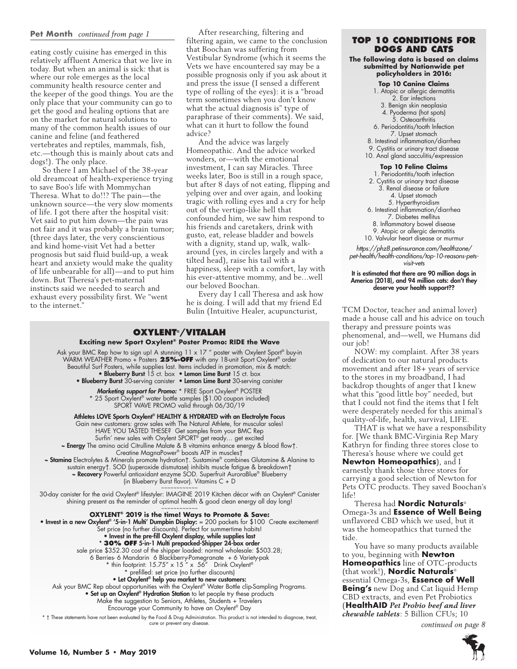#### **Pet Month** *continued from page 1*

eating costly cuisine has emerged in this relatively affluent America that we live in today. But when an animal is sick: that is where our role emerges as the local community health resource center and the keeper of the good things. You are the only place that your community can go to get the good and healing options that are on the market for natural solutions to many of the common health issues of our canine and feline (and feathered vertebrates and reptiles, mammals, fish, etc.—though this is mainly about cats and dogs!). The only place.

So there I am Michael of the 38-year old dreamcoat of health-experience trying to save Boo's life with Mommychan Theresa. What to do!!? The pain—the unknown source—the very slow moments of life. I got there after the hospital visit: Vet said to put him down—the pain was not fair and it was probably a brain tumor; (three days later, the very conscientious and kind home-visit Vet had a better prognosis but said fluid build-up, a weak heart and anxiety would make the quality of life unbearable for all)—and to put him down. But Theresa's pet-maternal instincts said we needed to search and exhaust every possibility first. We "went to the internet.'

After researching, filtering and filtering again, we came to the conclusion that Boochan was suffering from Vestibular Syndrome (which it seems the Vets we have encountered say may be a possible prognosis only if you ask about it and press the issue (I sensed a different type of rolling of the eyes): it is a "broad term sometimes when you don't know what the actual diagnosis is" type of paraphrase of their comments). We said, what can it hurt to follow the found advice?

And the advice was largely Homeopathic. And the advice worked wonders, or—with the emotional investment, I can say Miracles. Three weeks later, Boo is still in a rough space, but after 8 days of not eating, flipping and yelping over and over again, and looking tragic with rolling eyes and a cry for help out of the vertigo-like hell that confounded him, we saw him respond to his friends and caretakers, drink with gusto, eat, release bladder and bowels with a dignity, stand up, walk, walkaround (yes, in circles largely and with a tilted head), raise his tail with a happiness, sleep with a comfort, lay with his ever-attentive mommy, and be…well our beloved Boochan.

Every day I call Theresa and ask how he is doing. I will add that my friend Ed

# **Oxylent®/Vitalah Exciting new Sport Oxylent® Poster Promo: RIDE the Wave**

Ask your BMC Rep how to sign up! A stunning 11 x 17 " poster with Oxylent Sport® buy-in WARM WEATHER Promo + Posters **25%-OFF** with any 18-unit Sport Oxylent® order Beautiful Surf Posters, while supplies last. Items included in promotion, mix & match: • Blueberry Burst 15 ct. box • Lemon Lime Burst 15 ct. box • Blueberry Burst 30-serving canister • Lemon Lime Burst 30-serving canister Marketing support for Promo: \* FREE Sport Oxylent® POSTER \* 25 Sport Oxylent® water bottle samples (\$1.00 coupon included) SPORT WAVE PROMO valid through 06/30/19 Athletes LOVE Sports Oxylent® HEALTHY & HYDRATED with an Electrolyte Focus Gain new customers: grow sales with The Natural Athlete, for muscular sales! HAVE YOU TASTED THESE? Get samples from your BMC Rep Surfin' new sales with Oxylent SPORT® get ready… get excited ~ Energy The amino acid Citrulline Malate & B vitamins enhance energy & blood flow†. Creatine MagnaPower® boosts ATP in muscles† ~ Stamina Electrolytes & Minerals promote hydration†. Sustamine® combines Glutamine & Alanine to sustain energy†. SOD (superoxide dismutase) inhibits muscle fatigue & breakdown† ~ Recovery Powerful antioxidant enzyme SOD. Superfruit AuroraBlue® Blueberry (in Blueberry Burst flavor). Vitamins C + D ~~~~~~~~~~~~ 30-day canister for the avid Oxylent® lifestyler: IMAGINE 2019 Kitchen décor with an Oxylent® Canister shining present as the reminder of optimal health & good clean energy all day long! ~~~~~~~~~~~~ **OXYLENT® 2019 is the time! Ways to Promote & Save:** • Invest in a new Oxylent® '5-in-1 Multi' Dumpbin Display: = 200 packets for \$100 Create excitement! Set price (no further discounts). Perfect for summertime habits! • Invest in the pre-fill Oxylent display, while supplies last \* **30% OFF** 5-in-1 Multi prepacked-Shipper 24-box order sale price \$352.30 cost of the shipper loaded: normal wholesale: \$503.28; 6 Berries- 6 Mandarin 6 Blackberry-Pomegranate + 6 Variety-pak \* thin footprint: 15.75" x 15 " x 56" Drink Oxylent® prefilled: set price (no further discounts) • Let Oxylent® help you market to new customers: Ask your BMC Rep about opportunities with the Oxylent® Water Bottle clip-Sampling Programs. • Set up an Oxylent® Hydration Station to let people try these products

Make the suggestion to Seniors, Athletes, Students + Travelers

Encourage your Community to have an Oxylent® Day

\* † These statements have not been evaluated by the Food & Drug Administration. This product is not intended to diagnose, treat, cure or prevent any disease.

# **Top 10 Conditions for Dogs and Cats**

**The following data is based on claims submitted by Nationwide pet policyholders in 2016:** 

#### **Top 10 Canine Claims**

1. Atopic or allergic dermatitis 2. Ear infections 3. Benign skin neoplasia 4. Pyoderma (hot spots) 5. Osteoarthritis 6. Periodontitis/tooth Infection 7. Upset stomach 8. Intestinal inflammation/diarrhea 9. Cystitis or urinary tract disease 10. Anal gland sacculitis/expression **Top 10 Feline Claims** 1. Periodontitis/tooth infection

- 2. Cystitis or urinary tract disease 3. Renal disease or failure 4. Upset stomach 5. Hyperthyroidism
- 6. Intestinal inflammation/diarrhea
- 7. Diabetes mellitus
- 8. Inflammatory bowel disease
- 9. Atopic or allergic dermatitis

10. Valvular heart disease or murmur

*https://phz8.petinsurance.com/healthzone/ pet-health/health-conditions/top-10-reasons-petsvisit-vets*

#### It is estimated that there are 90 million dogs in America (2018), and 94 million cats: don't they deserve your health support??

Bulin (Intuitive Healer, acupuncturist, TCM Doctor, teacher and animal lover) made a house call and his advice on touch therapy and pressure points was phenomenal, and—well, we Humans did our job!

NOW: my complaint. After 38 years of dedication to our natural products movement and after 18+ years of service to the stores in my broadband, I had backdrop thoughts of anger that I knew what this "good little boy" needed, but that I could not find the items that I felt were desperately needed for this animal's quality-of-life, health, survival, LIFE.

THAT is what we have a responsibility for. [We thank BMC-Virginia Rep Mary Kathryn for finding three stores close to Theresa's house where we could get

**Newton Homeopathics**), and I earnestly thank those three stores for carrying a good selection of Newton for Pets OTC products. They saved Boochan's life!

Theresa had **Nordic Naturals**® Omega-3s and **Essence of Well Being**  unflavored CBD which we used, but it was the homeopathics that turned the tide.

You have so many products available to you, beginning with **Newton Homeopathics** line of OTC-products (that work!), **Nordic Naturals**® essential Omega-3s, **Essence of Well Being's** new Dog and Cat liquid Hemp CBD extracts, and even Pet Probiotics (**HealthAID** *Pet Probio beef and liver chewable tablets*: 5 Billion CFUs; 10

*continued on page 8*